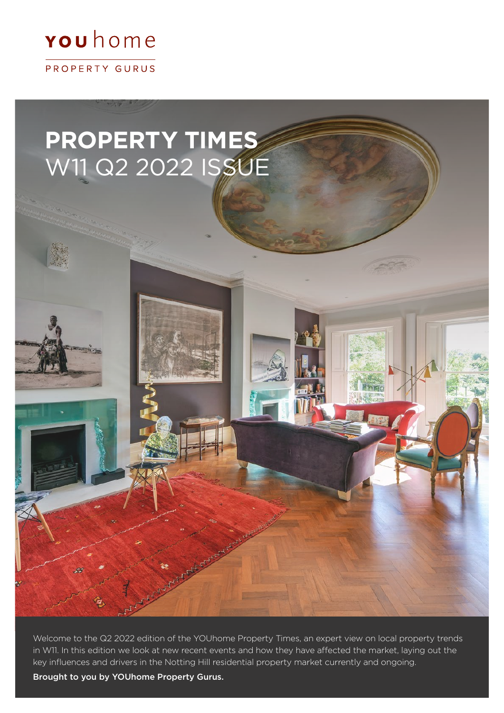## **rou** home

PROPERTY GURUS

# **PROPERTY TIMES** W11 Q2 2022 ISSUE

Welcome to the Q2 2022 edition of the YOUhome Property Times, an expert view on local property trends in W11. In this edition we look at new recent events and how they have affected the market, laying out the key influences and drivers in the Notting Hill residential property market currently and ongoing.

Art Asher

Brought to you by YOUhome Property Gurus.

 $\mathcal{L}$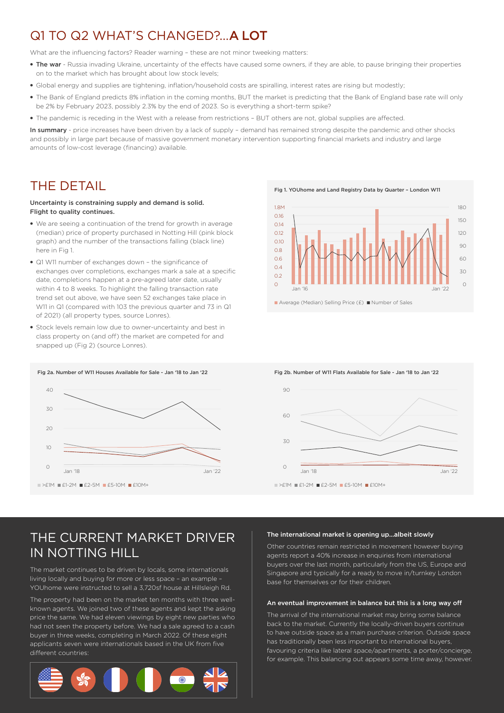### Q1 TO Q2 WHAT'S CHANGED? A LOT

What are the influencing factors? Reader warning - these are not minor tweeking matters:

- The war Russia invading Ukraine, uncertainty of the effects have caused some owners, if they are able, to pause bringing their properties on to the market which has brought about low stock levels;
- Global energy and supplies are tightening, inflation/household costs are spiralling, interest rates are rising but modestly;
- The Bank of England predicts 8% inflation in the coming months, BUT the market is predicting that the Bank of England base rate will only be 2% by February 2023, possibly 2.3% by the end of 2023. So is everything a short-term spike?
- The pandemic is receding in the West with a release from restrictions BUT others are not, global supplies are affected.

In summary - price increases have been driven by a lack of supply - demand has remained strong despite the pandemic and other shocks and possibly in large part because of massive government monetary intervention supporting financial markets and industry and large amounts of low-cost leverage (financing) available.

### THE DETAIL

#### Uncertainty is constraining supply and demand is solid. Flight to quality continues.

- We are seeing a continuation of the trend for growth in average (median) price of property purchased in Notting Hill (pink block graph) and the number of the transactions falling (black line) here in Fig 1.
- Q1 W11 number of exchanges down the significance of exchanges over completions, exchanges mark a sale at a specific date, completions happen at a pre-agreed later date, usually within 4 to 8 weeks. To highlight the falling transaction rate trend set out above, we have seen 52 exchanges take place in W11 in Q1 (compared with 103 the previous quarter and 73 in Q1 of 2021) (all property types, source Lonres).
- Stock levels remain low due to owner-uncertainty and best in class property on (and off) the market are competed for and snapped up (Fig 2) (source Lonres).



■ Average (Median) Selling Price (£) ■ Number of Sales



Fig 2b. Number of W11 Flats Available for Sale - Jan '18 to Jan '22



### THE CURRENT MARKET DRIVER IN NOTTING HILL

The market continues to be driven by locals, some internationals living locally and buying for more or less space – an example – YOUhome were instructed to sell a 3,720sf house at Hillsleigh Rd.

The property had been on the market ten months with three wellknown agents. We joined two of these agents and kept the asking price the same. We had eleven viewings by eight new parties who had not seen the property before. We had a sale agreed to a cash buyer in three weeks, completing in March 2022. Of these eight applicants seven were internationals based in the UK from five different countries:



#### The international market is opening up...albeit slowly

Other countries remain restricted in movement however buying agents report a 40% increase in enquiries from international buyers over the last month, particularly from the US, Europe and Singapore and typically for a ready to move in/turnkey London base for themselves or for their children.

#### An eventual improvement in balance but this is a long way off

The arrival of the international market may bring some balance back to the market. Currently the locally-driven buyers continue to have outside space as a main purchase criterion. Outside space has traditionally been less important to international buyers, favouring criteria like lateral space/apartments, a porter/concierge, for example. This balancing out appears some time away, however.

Fig 1. YOUhome and Land Registry Data by Quarter – London W11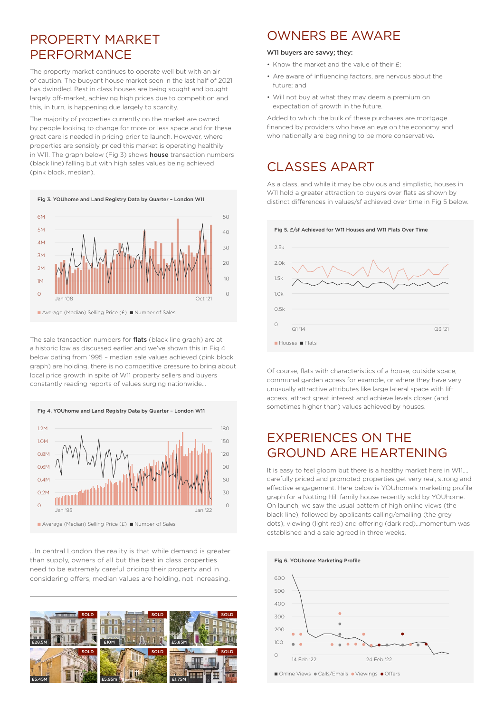### PROPERTY MARKET PERFORMANCE

The property market continues to operate well but with an air of caution. The buoyant house market seen in the last half of 2021 has dwindled. Best in class houses are being sought and bought largely off-market, achieving high prices due to competition and this, in turn, is happening due largely to scarcity.

The majority of properties currently on the market are owned by people looking to change for more or less space and for these great care is needed in pricing prior to launch. However, where properties are sensibly priced this market is operating healthily in W11. The graph below (Fig 3) shows **house** transaction numbers (black line) falling but with high sales values being achieved (pink block, median).



The sale transaction numbers for **flats** (black line graph) are at a historic low as discussed earlier and we've shown this in Fig 4 below dating from 1995 - median sale values achieved (pink block graph) are holding, there is no competitive pressure to bring about local price growth in spite of W11 property sellers and buyers constantly reading reports of values surging nationwide...

■ Average (Median) Selling Price (£) ■ Number of Sales 1.2M 1.0M 0.8M 0.6M  $0.4<sub>N</sub>$ 0.2M dan 195 Jan 195 Jan 1968 Jan 1968.<br>Jan 195 Jan 1970 Jan 1970 Jan 1970 Jan 1970 Jan 1980 Jan 1980 Jan 1980 Jan 1980 Jan 1980 Jan 1980 Jan 1980 Jan 90  $60$  $30$  $120$ 150 180 Fig 4. YOUhome and Land Registry Data by Quarter – London W11

...In central London the reality is that while demand is greater than supply, owners of all but the best in class properties need to be extremely careful pricing their property and in considering offers, median values are holding, not increasing.



### OWNERS BE AWARE

#### W11 buyers are savvy; they:

- Know the market and the value of their £;
- Are aware of influencing factors, are nervous about the future; and
- Will not buy at what they may deem a premium on expectation of growth in the future.

Added to which the bulk of these purchases are mortgage financed by providers who have an eye on the economy and who nationally are beginning to be more conservative.

## CLASSES APART

As a class, and while it may be obvious and simplistic, houses in W<sub>11</sub> hold a greater attraction to buyers over flats as shown by distinct differences in values/sf achieved over time in Fig 5 below.



Of course, flats with characteristics of a house, outside space, communal garden access for example, or where they have very unusually attractive attributes like large lateral space with lift access, attract great interest and achieve levels closer (and sometimes higher than) values achieved by houses.

### EXPERIENCES ON THE GROUND ARE HEARTENING

It is easy to feel gloom but there is a healthy market here in W11…. carefully priced and promoted properties get very real, strong and effective engagement. Here below is YOUhome's marketing profile graph for a Notting Hill family house recently sold by YOUhome. On launch, we saw the usual pattern of high online views (the black line), followed by applicants calling/emailing (the grey dots), viewing (light red) and offering (dark red)…momentum was established and a sale agreed in three weeks.